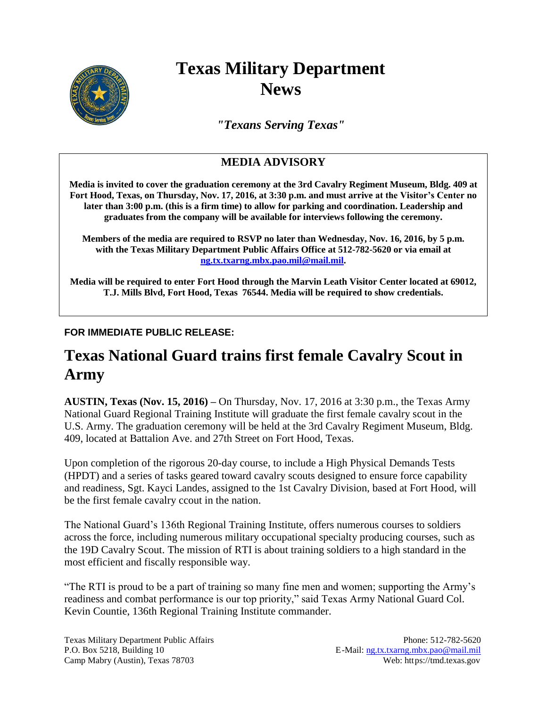

# **Texas Military Department News**

*"Texans Serving Texas"*

### **MEDIA ADVISORY**

**Media is invited to cover the graduation ceremony at the 3rd Cavalry Regiment Museum, Bldg. 409 at Fort Hood, Texas, on Thursday, Nov. 17, 2016, at 3:30 p.m. and must arrive at the Visitor's Center no later than 3:00 p.m. (this is a firm time) to allow for parking and coordination. Leadership and graduates from the company will be available for interviews following the ceremony.**

**Members of the media are required to RSVP no later than Wednesday, Nov. 16, 2016, by 5 p.m. with the Texas Military Department Public Affairs Office at 512-782-5620 or via email at [ng.tx.txarng.mbx.pao.mil@mail.mil.](mailto:ng.tx.txarng.mbx.pao.mil@mail.mil)** 

**Media will be required to enter Fort Hood through the Marvin Leath Visitor Center located at 69012, T.J. Mills Blvd, Fort Hood, Texas 76544. Media will be required to show credentials.**

### **FOR IMMEDIATE PUBLIC RELEASE:**

## **Texas National Guard trains first female Cavalry Scout in Army**

**AUSTIN, Texas (Nov. 15, 2016) –** On Thursday, Nov. 17, 2016 at 3:30 p.m., the Texas Army National Guard Regional Training Institute will graduate the first female cavalry scout in the U.S. Army. The graduation ceremony will be held at the 3rd Cavalry Regiment Museum, Bldg. 409, located at Battalion Ave. and 27th Street on Fort Hood, Texas.

Upon completion of the rigorous 20-day course, to include a High Physical Demands Tests (HPDT) and a series of tasks geared toward cavalry scouts designed to ensure force capability and readiness, Sgt. Kayci Landes, assigned to the 1st Cavalry Division, based at Fort Hood, will be the first female cavalry ccout in the nation.

The National Guard's 136th Regional Training Institute, offers numerous courses to soldiers across the force, including numerous military occupational specialty producing courses, such as the 19D Cavalry Scout. The mission of RTI is about training soldiers to a high standard in the most efficient and fiscally responsible way.

"The RTI is proud to be a part of training so many fine men and women; supporting the Army's readiness and combat performance is our top priority," said Texas Army National Guard Col. Kevin Countie, 136th Regional Training Institute commander.